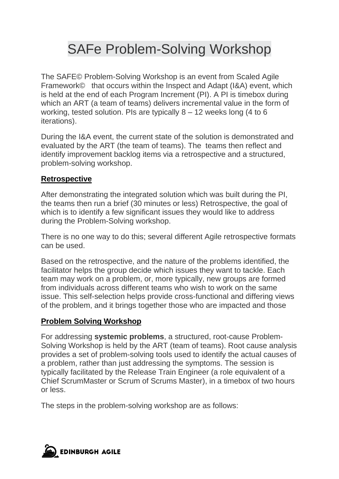## SAFe Problem-Solving Workshop

The SAFE© Problem-Solving Workshop is an event from Scaled Agile Framework© that occurs within the Inspect and Adapt (I&A) event, which is held at the end of each Program Increment (PI). A PI is timebox during which an ART (a team of teams) delivers incremental value in the form of working, tested solution. PIs are typically 8 – 12 weeks long (4 to 6 iterations).

During the I&A event, the current state of the solution is demonstrated and evaluated by the ART (the team of teams). The teams then reflect and identify improvement backlog items via a retrospective and a structured, problem-solving workshop.

## **Retrospective**

After demonstrating the integrated solution which was built during the PI, the teams then run a brief (30 minutes or less) Retrospective, the goal of which is to identify a few significant issues they would like to address during the Problem-Solving workshop.

There is no one way to do this; several different Agile retrospective formats can be used.

Based on the retrospective, and the nature of the problems identified, the facilitator helps the group decide which issues they want to tackle. Each team may work on a problem, or, more typically, new groups are formed from individuals across different teams who wish to work on the same issue. This self-selection helps provide cross-functional and differing views of the problem, and it brings together those who are impacted and those

## **Problem Solving Workshop**

For addressing **systemic problems**, a structured, root-cause Problem-Solving Workshop is held by the ART (team of teams). Root cause analysis provides a set of problem-solving tools used to identify the actual causes of a problem, rather than just addressing the symptoms. The session is typically facilitated by the Release Train Engineer (a role equivalent of a Chief ScrumMaster or Scrum of Scrums Master), in a timebox of two hours or less.

The steps in the problem-solving workshop are as follows: